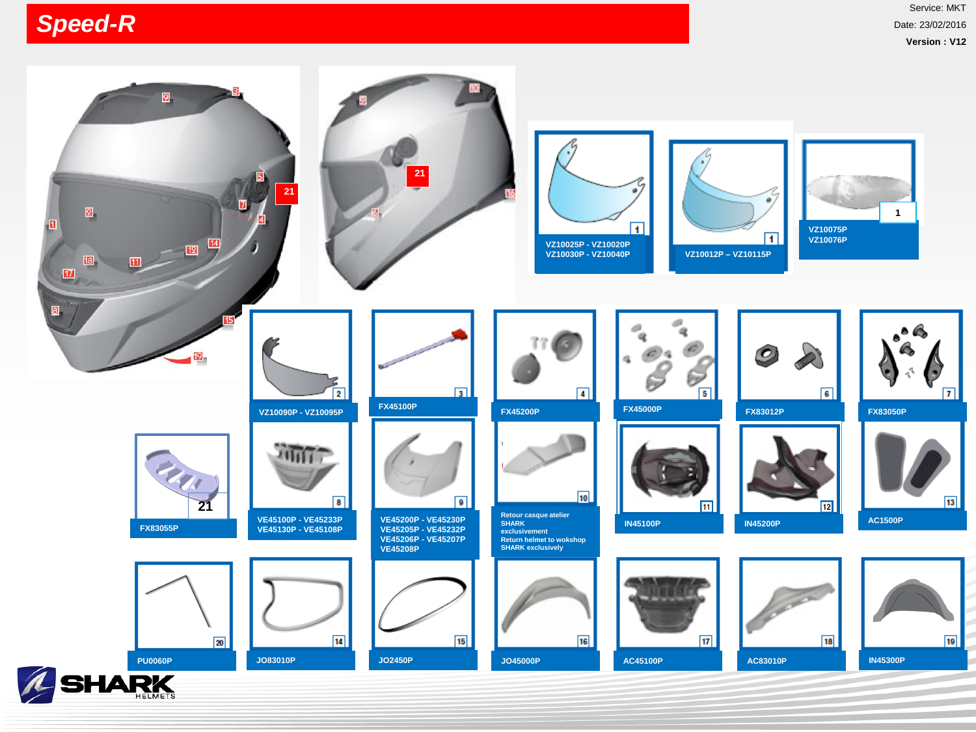## *Speed-R*

Service: MKT Date: 23/02/2016 **Version : V12**